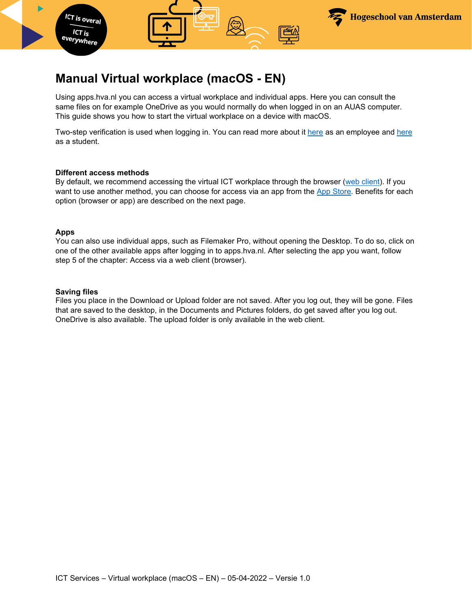

# **Manual Virtual workplace (macOS - EN)**

Using apps.hva.nl you can access a virtual workplace and individual apps. Here you can consult the same files on for example OneDrive as you would normally do when logged in on an AUAS computer. This guide shows you how to start the virtual workplace on a device with macOS.

Two-step verification is used when logging in. You can read more about it [here](https://az.hva.nl/en/employees/az-lemmas/employees/auas/its-si/two-step-verification/two-step-verification.html) as an employee and [here](https://student.amsterdamuas.com/az-lemmas/students/auas/its-si/two-step-verification/two-step-verification.html) as a student.

### **Different access methods**

By default, we recommend accessing the virtual ICT workplace through the browser [\(web client\)](#page-2-0). If you want to use another method, you can choose for access via an app from the [App Store.](#page-4-0) Benefits for each option (browser or app) are described on the next page.

### **Apps**

You can also use individual apps, such as Filemaker Pro, without opening the Desktop. To do so, click on one of the other available apps after logging in to apps.hva.nl. After selecting the app you want, follow step 5 of the chapter: Access via a web client (browser).

### **Saving files**

Files you place in the Download or Upload folder are not saved. After you log out, they will be gone. Files that are saved to the desktop, in the Documents and Pictures folders, do get saved after you log out. OneDrive is also available. The upload folder is only available in the web client.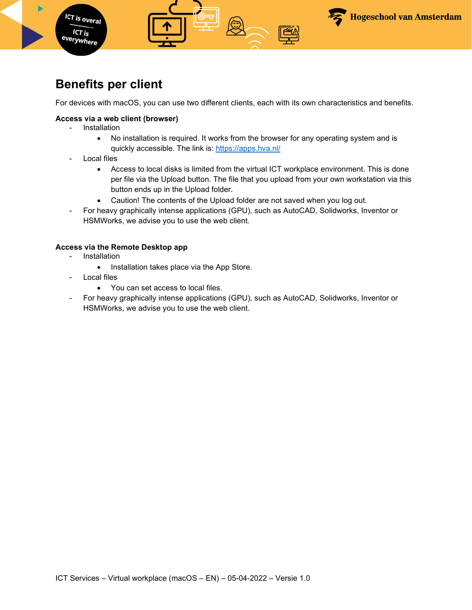

### **Benefits per client**

For devices with macOS, you can use two different clients, each with its own characteristics and benefits.

### **Access via a web client (browser)**

- Installation
	- No installation is required. It works from the browser for any operating system and is quickly accessible. The link is:<https://apps.hva.nl/>
- Local files
	- Access to local disks is limited from the virtual ICT workplace environment. This is done per file via the Upload button. The file that you upload from your own workstation via this button ends up in the Upload folder.
	- Caution! The contents of the Upload folder are not saved when you log out.
- For heavy graphically intense applications (GPU), such as AutoCAD, Solidworks, Inventor or HSMWorks, we advise you to use the web client.

### **Access via the Remote Desktop app**

- **Installation** 
	- Installation takes place via the App Store.
- Local files
	- You can set access to local files.
- For heavy graphically intense applications (GPU), such as AutoCAD, Solidworks, Inventor or HSMWorks, we advise you to use the web client.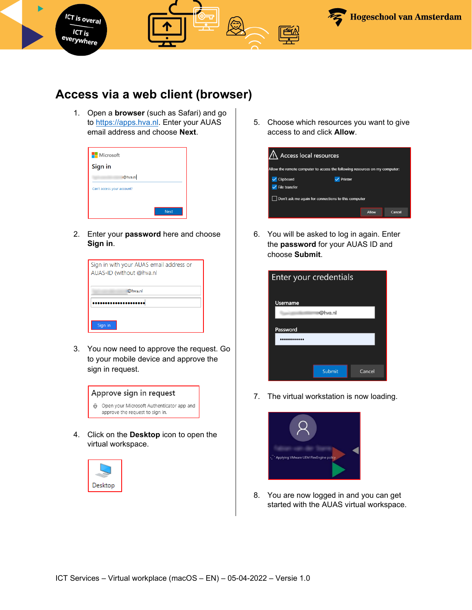

## <span id="page-2-0"></span>**Access via a web client (browser)**

1. Open a **browser** (such as Safari) and go to [https://apps.hva.nl.](https://apps.hva.nl/) Enter your AUAS email address and choose **Next**.

| <b>Microsoft</b>           |             |
|----------------------------|-------------|
| Sign in                    |             |
| @hva.nl                    |             |
| Can't access your account? |             |
|                            |             |
|                            | <b>Next</b> |

2. Enter your **password** here and choose **Sign in**.

| AUAS-ID (without @hva.nl<br>@hva.nl |  |
|-------------------------------------|--|
|                                     |  |
|                                     |  |
|                                     |  |

3. You now need to approve the request. Go to your mobile device and approve the sign in request.



4. Click on the **Desktop** icon to open the virtual workspace.



5. Choose which resources you want to give access to and click **Allow**.



6. You will be asked to log in again. Enter the **password** for your AUAS ID and choose **Submit**.



7. The virtual workstation is now loading.



8. You are now logged in and you can get started with the AUAS virtual workspace.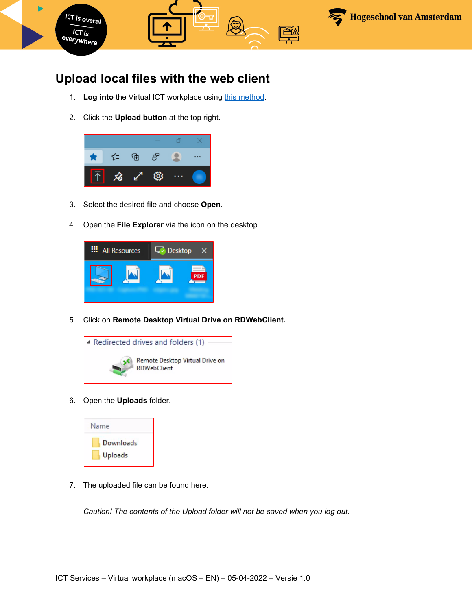

# **Upload local files with the web client**

- 1. Log into the Virtual ICT workplace using this method.
- 2. Click the **Upload button** at the top right**.**



- 3. Select the desired file and choose **Open**.
- 4. Open the **File Explorer** via the icon on the desktop.



5. Click on **Remote Desktop Virtual Drive on RDWebClient.** 



6. Open the **Uploads** folder.



7. The uploaded file can be found here.

*Caution! The contents of the Upload folder will not be saved when you log out.*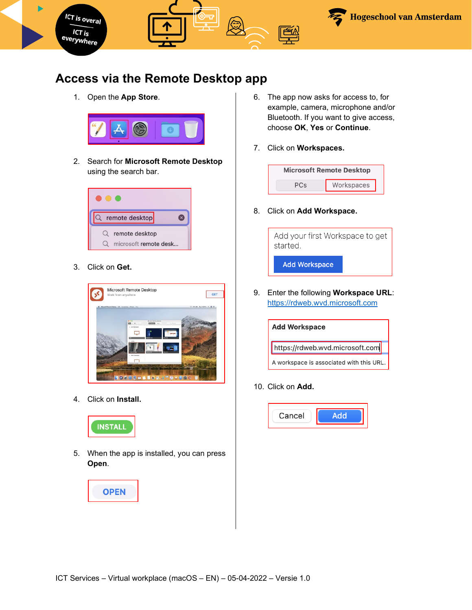

## <span id="page-4-0"></span>**Access via the Remote Desktop app**

1. Open the **App Store**.



2. Search for **Microsoft Remote Desktop** using the search bar.



3. Click on **Get.**



4. Click on **Install.**



5. When the app is installed, you can press **Open**.



- 6. The app now asks for access to, for example, camera, microphone and/or Bluetooth. If you want to give access, choose **OK**, **Yes** or **Continue**.
- 7. Click on **Workspaces.**



8. Click on **Add Workspace.** 



9. Enter the following **Workspace URL**: [https://rdweb.wvd.microsoft.com](https://rdweb.wvd.microsoft.com/)



10. Click on **Add.**

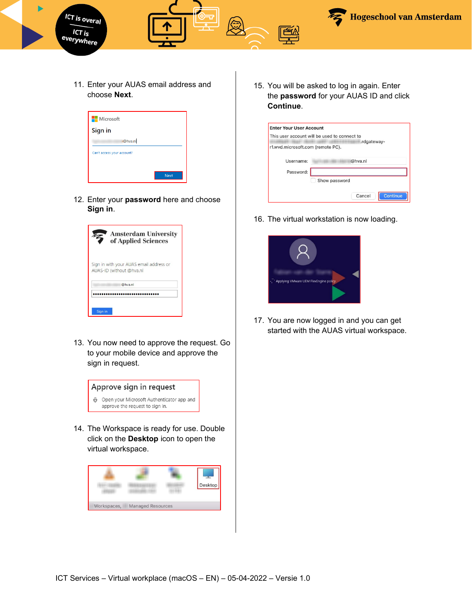

11. Enter your AUAS email address and choose **Next**.

| <b>Microsoft</b>           |             |
|----------------------------|-------------|
| Sign in                    |             |
| @hva.nl                    |             |
| Can't access your account? |             |
|                            |             |
|                            | <b>Next</b> |

12. Enter your **password** here and choose **Sign in**.



13. You now need to approve the request. Go to your mobile device and approve the sign in request.



14. The Workspace is ready for use. Double click on the **Desktop** icon to open the virtual workspace.



15. You will be asked to log in again. Enter the **password** for your AUAS ID and click **Continue**.

| <b>Enter Your User Account</b>    |                                                             |
|-----------------------------------|-------------------------------------------------------------|
|                                   | This user account will be used to connect to<br>.rdgateway- |
| r1.wvd.microsoft.com (remote PC). |                                                             |
| Username:                         | @hva.nl                                                     |
| Password:                         |                                                             |
|                                   | Show password                                               |
|                                   |                                                             |
|                                   | Continue<br>Cancel                                          |

16. The virtual workstation is now loading.



17. You are now logged in and you can get started with the AUAS virtual workspace.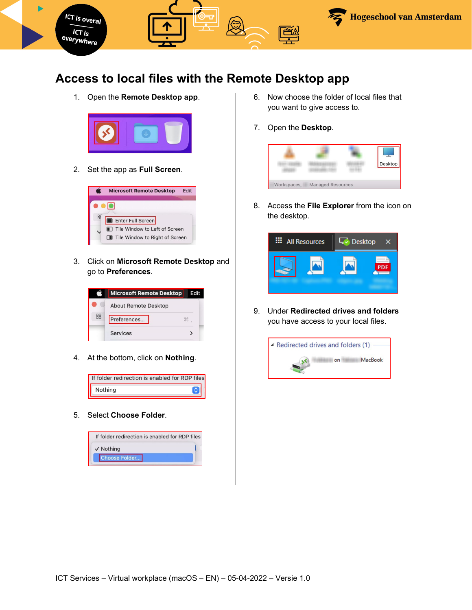

### **Access to local files with the Remote Desktop app**

1. Open the **Remote Desktop app**.



2. Set the app as **Full Screen**.



3. Click on **Microsoft Remote Desktop** and go to **Preferences**.



4. At the bottom, click on **Nothing**.



5. Select **Choose Folder**.

- 6. Now choose the folder of local files that you want to give access to.
- 7. Open the **Desktop**.



8. Access the **File Explorer** from the icon on the desktop.



9. Under **Redirected drives and folders** you have access to your local files.